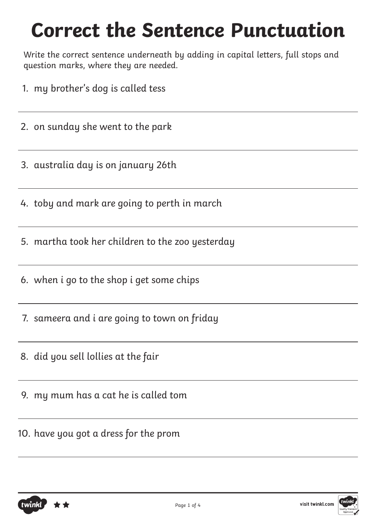# **Correct the Sentence Punctuation**

Write the correct sentence underneath by adding in capital letters, full stops and question marks, where they are needed.

- 1. my brother's dog is called tess
- 2. on sunday she went to the park
- 3. australia day is on january 26th
- 4. toby and mark are going to perth in march
- 5. martha took her children to the zoo yesterday
- 6. when i go to the shop i get some chips
- 7. sameera and i are going to town on friday
- 8. did you sell lollies at the fair
- 9. my mum has a cat he is called tom
- 10. have you got a dress for the prom



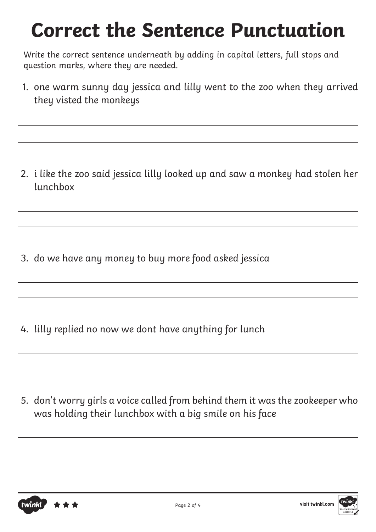# **Correct the Sentence Punctuation**

Write the correct sentence underneath by adding in capital letters, full stops and question marks, where they are needed.

1. one warm sunny day jessica and lilly went to the zoo when they arrived they visted the monkeys

2. i like the zoo said jessica lilly looked up and saw a monkey had stolen her lunchbox

3. do we have any money to buy more food asked jessica

4. lilly replied no now we dont have anything for lunch

5. don't worry girls a voice called from behind them it was the zookeeper who was holding their lunchbox with a big smile on his face



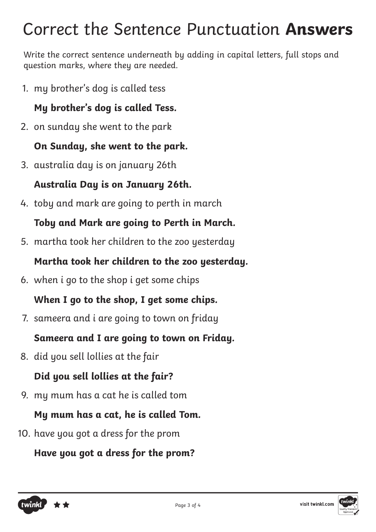# Correct the Sentence Punctuation **Answers**

Write the correct sentence underneath by adding in capital letters, full stops and question marks, where they are needed.

1. my brother's dog is called tess

#### **My brother's dog is called Tess.**

2. on sunday she went to the park

#### **On Sunday, she went to the park.**

3. australia day is on january 26th

#### **Australia Day is on January 26th.**

4. toby and mark are going to perth in march

#### **Toby and Mark are going to Perth in March.**

5. martha took her children to the zoo yesterday

#### **Martha took her children to the zoo yesterday.**

6. when i go to the shop i get some chips

# **When I go to the shop, I get some chips.**

7. sameera and i are going to town on friday

# **Sameera and I are going to town on Friday.**

8. did you sell lollies at the fair

# **Did you sell lollies at the fair?**

9. my mum has a cat he is called tom

# **My mum has a cat, he is called Tom.**

10. have you got a dress for the prom

# **Have you got a dress for the prom?**